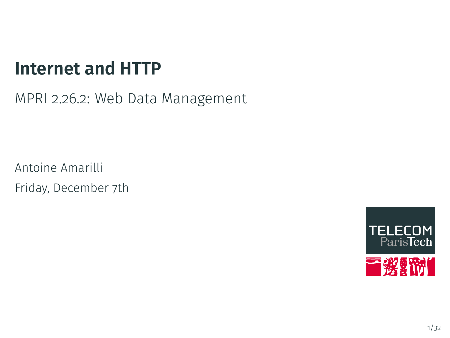# **Internet and HTTP**

MPRI 2.26.2: Web Data Management

Antoine Amarilli Friday, December 7th

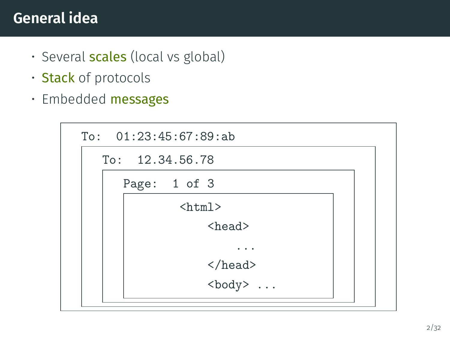#### <span id="page-1-0"></span>**General idea**

- Several **scales** (local vs global)
- Stack of protocols
- Embedded messages

| To: 01:23:45:67:89:ab |
|-----------------------|
| To: 12.34.56.78       |
| Page: 1 of 3          |
| $\hbox{\tt >}$        |
| $<$ head $>$          |
|                       |
| $\langle$ /head>      |
| $\text{} \dots$       |
|                       |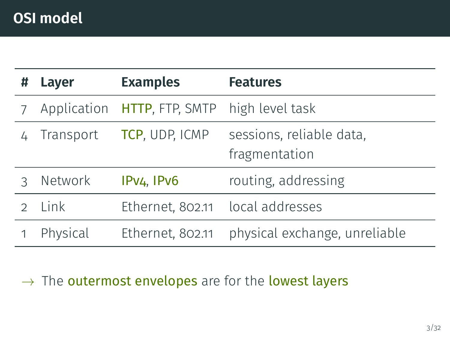| Ħ | Layer       | <b>Examples</b>                     | <b>Features</b>                           |
|---|-------------|-------------------------------------|-------------------------------------------|
|   | Application | HTTP, FTP, SMTP high level task     |                                           |
|   | Transport   | TCP, UDP, ICMP                      | sessions, reliable data,<br>fragmentation |
|   | Network     | IPv <sub>4</sub> , IPv <sub>6</sub> | routing, addressing                       |
|   | Link        | Ethernet, 802.11 local addresses    |                                           |
|   | Physical    | Ethernet, 802.11                    | physical exchange, unreliable             |

 $\rightarrow$  The outermost envelopes are for the lowest layers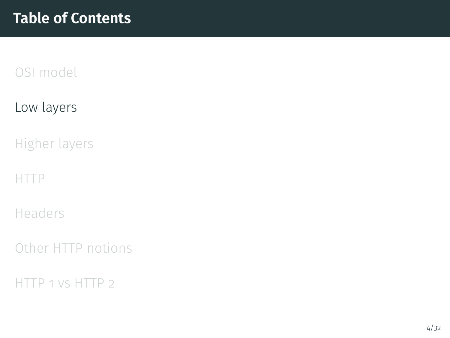#### <span id="page-3-0"></span>[Low layers](#page-3-0)

[Higher layers](#page-9-0)

[HTTP](#page-15-0)

[Headers](#page-24-0)

[Other HTTP notions](#page-31-0)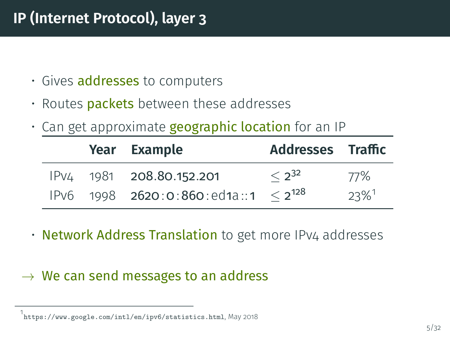### **IP (Internet Protocol), layer 3**

- Gives **addresses** to computers
- $\cdot$  Routes packets between these addresses
- Can get approximate **geographic location** for an IP

|  | Year Example                                          | Addresses Traffic |                     |
|--|-------------------------------------------------------|-------------------|---------------------|
|  | IPv4 1981 208.80.152.201                              | $< 2^{32}$        | 77%                 |
|  | IPv6 $1998$ <b>2620:0:860:</b> ed1a::1 $\leq 2^{128}$ |                   | $23\%$ <sup>1</sup> |

• Network Address Translation to get more IPv4 addresses

#### $\rightarrow$  We can send messages to an address

<sup>1</sup> ://www.google.com/intl/en/ipv6/statistics.html, May 2018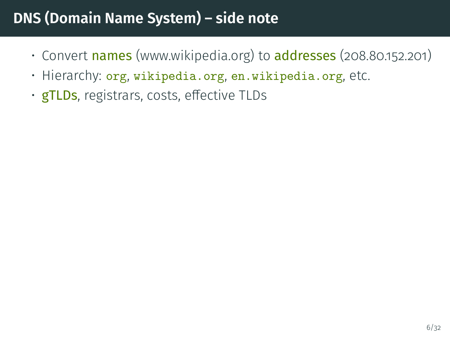## **DNS (Domain Name System) – side note**

- Convert names (www.wikipedia.org) to addresses (208.80.152.201)
- Hierarchy: org, wikipedia.org, en.wikipedia.org, etc.
- $\cdot$  gTLDs, registrars, costs, effective TLDs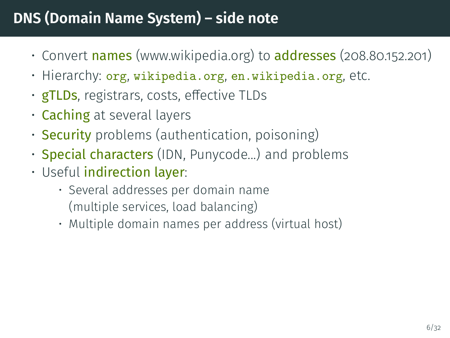## **DNS (Domain Name System) – side note**

- Convert names (www.wikipedia.org) to addresses (208.80.152.201)
- Hierarchy: org, wikipedia.org, en.wikipedia.org, etc.
- **gTLDs**, registrars, costs, effective TLDs
- Caching at several layers
- **Security** problems (authentication, poisoning)
- **Special characters** (IDN, Punycode...) and problems
- Useful indirection layer:
	- Several addresses per domain name (multiple services, load balancing)
	- Multiple domain names per address (virtual host)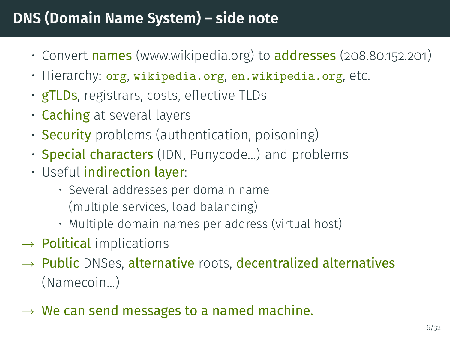## **DNS (Domain Name System) – side note**

- Convert names (www.wikipedia.org) to addresses (208.80.152.201)
- Hierarchy: org, wikipedia.org, en.wikipedia.org, etc.
- $\cdot$  gTLDs, registrars, costs, effective TLDs
- Caching at several layers
- **Security** problems (authentication, poisoning)
- **Special characters** (IDN, Punycode...) and problems
- Useful indirection layer:
	- Several addresses per domain name (multiple services, load balancing)
	- Multiple domain names per address (virtual host)
- $\rightarrow$  Political implications
- $\rightarrow$  Public DNSes, alternative roots, decentralized alternatives (Namecoin...)
- $\rightarrow$  We can send messages to a named machine.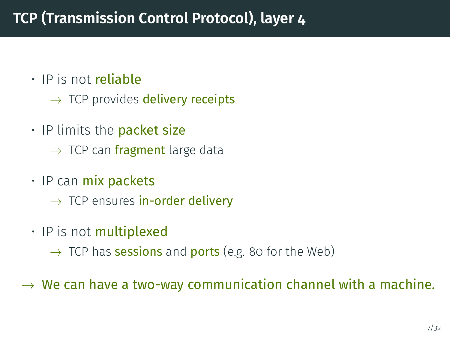- IP is not reliable
	- $\rightarrow$  TCP provides delivery receipts
- $\cdot$  IP limits the **packet size** 
	- $\rightarrow$  TCP can fragment large data
- IP can mix packets
	- $\rightarrow$  TCP ensures in-order delivery
- $\cdot$  IP is not multiplexed
	- $\rightarrow$  TCP has **sessions** and **ports** (e.g. 80 for the Web)

 $\rightarrow$  We can have a two-way communication channel with a machine.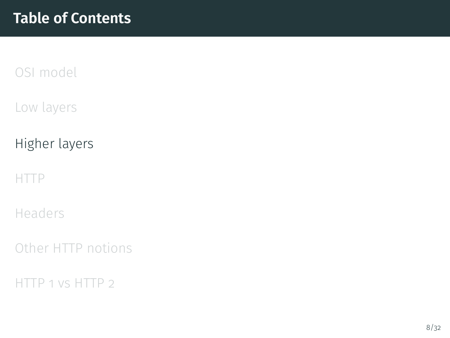<span id="page-9-0"></span>[Low layers](#page-3-0)

[Higher layers](#page-9-0)

[HTTP](#page-15-0)

[Headers](#page-24-0)

[Other HTTP notions](#page-31-0)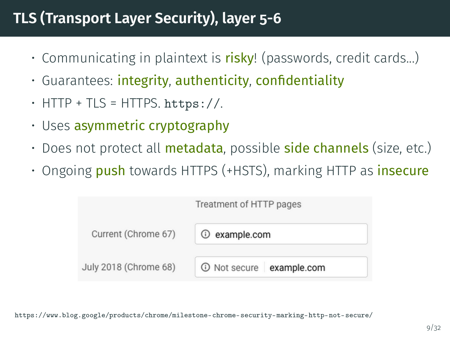## **TLS (Transport Layer Security), layer 5-6**

- Communicating in plaintext is risky! (passwords, credit cards...)
- $\cdot$  Guarantees: integrity, authenticity, confidentiality
- $\cdot$  HTTP + TLS = HTTPS. https://.
- Uses asymmetric cryptography
- Does not protect all **metadata**, possible **side channels** (size, etc.)
- Ongoing push towards HTTPS (+HSTS), marking HTTP as *insecure*



<https://www.blog.google/products/chrome/milestone-chrome-security-marking-http-not-secure/>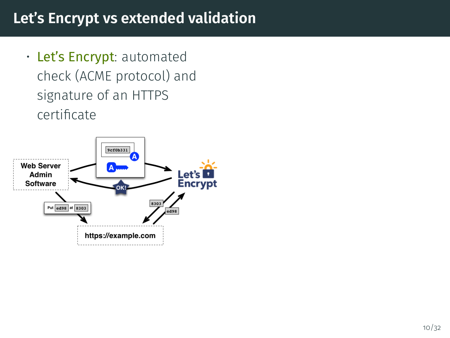#### **Let's Encrypt vs extended validation**

• Let's Encrypt: automated check (ACME protocol) and signature of an HTTPS certificate

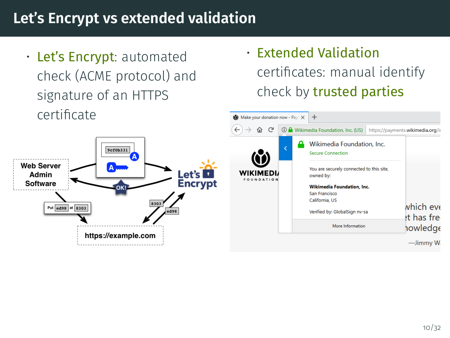#### **Let's Encrypt vs extended validation**

• Let's Encrypt: automated check (ACME protocol) and signature of an HTTPS certificates

V

• Extended Validation certificates: manual identify check by trusted parties

| certificate                                                               | (b) Make your donation now - Payr X<br>$\pm$ |                                                        |                                  |
|---------------------------------------------------------------------------|----------------------------------------------|--------------------------------------------------------|----------------------------------|
|                                                                           | $\leftarrow$<br>G<br>⋒<br>$\rightarrow$      | <b>10 A</b> Wikimedia Foundation, Inc. (US)            | https://payments.wikimedia.org/i |
| 9cf0b331                                                                  | 0                                            | Wikimedia Foundation, Inc.<br><b>Secure Connection</b> |                                  |
| /eb Server<br>Let's $\blacksquare$<br>Admin<br><b>Encrypt</b><br>Software | <b>WIKIMEDIA</b><br>FOUNDATION               | You are securely connected to this site,<br>owned by:  |                                  |
|                                                                           |                                              | <b>Wikimedia Foundation, Inc.</b>                      |                                  |
|                                                                           |                                              | San Francisco                                          |                                  |
| 8303                                                                      |                                              | California, US                                         |                                  |
| Put ed98 at 8303<br>ed98                                                  |                                              | Verified by: GlobalSign nv-sa                          | which eve<br>et has free         |
|                                                                           |                                              | More Information                                       | howledge                         |
| https://example.com                                                       |                                              |                                                        |                                  |
|                                                                           |                                              |                                                        | -Jimmy W                         |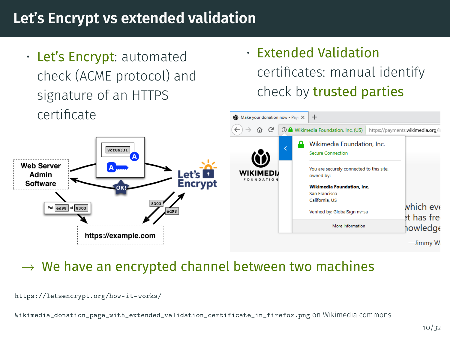### **Let's Encrypt vs extended validation**

• Let's Encrypt: automated check (ACME protocol) and signature of an HTTPS certificate

• Extended Validation certificates: manual identify check by trusted parties



#### $\rightarrow$  We have an encrypted channel between two machines

Wikimedia donation page with extended validation certificate in firefox.png on Wikimedia commons

<https://letsencrypt.org/how-it-works/>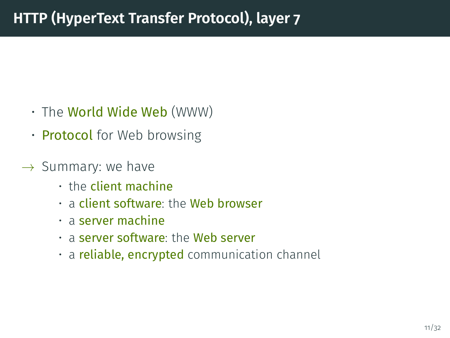- The World Wide Web (WWW)
- **Protocol** for Web browsing
- $\rightarrow$  Summary: we have
	- the client machine
	- a client software: the Web browser
	- a server machine
	- a server software: the Web server
	- a **reliable, encrypted** communication channel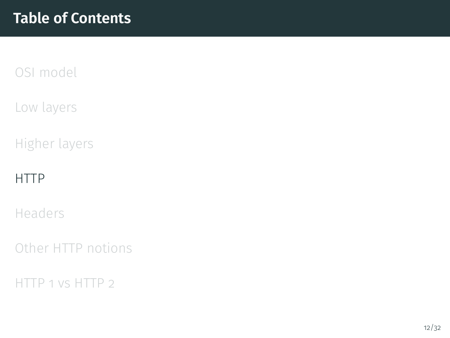<span id="page-15-0"></span>[Low layers](#page-3-0)

[Higher layers](#page-9-0)

#### [HTTP](#page-15-0)

[Headers](#page-24-0)

[Other HTTP notions](#page-31-0)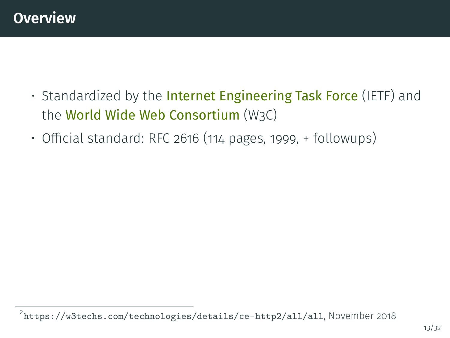- Standardized by the Internet Engineering Task Force (IETF) and the World Wide Web Consortium (W3C)
- $\cdot$  Official standard: [RFC 2616](https://tools.ietf.org/html/rfc2616) (114 pages, 1999, + followups)

 $^2$ <https://w3techs.com/technologies/details/ce-http2/all/all>, November 2018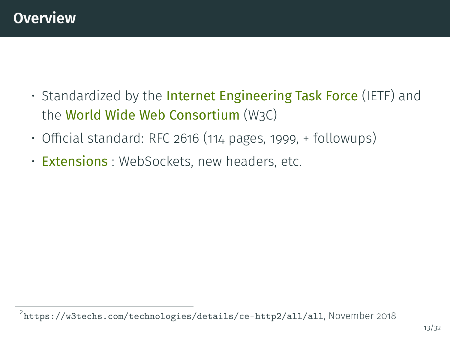- Standardized by the Internet Engineering Task Force (IETF) and the World Wide Web Consortium (W3C)
- $\cdot$  Official standard: [RFC 2616](https://tools.ietf.org/html/rfc2616) (114 pages, 1999, + followups)
- Extensions : WebSockets, new headers, etc.

 $^2$ <https://w3techs.com/technologies/details/ce-http2/all/all>, November 2018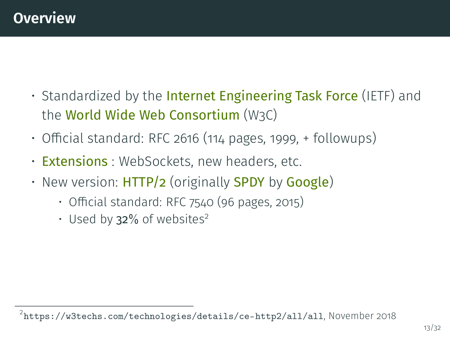- Standardized by the **Internet Engineering Task Force** (IETF) and the World Wide Web Consortium (W3C)
- $\cdot$  Official standard: [RFC 2616](https://tools.ietf.org/html/rfc2616) (114 pages, 1999,  $+$  followups)
- · Extensions : WebSockets, new headers, etc.
- New version: **HTTP/2** (originally **SPDY** by **Google**)
	- $\cdot$  Official standard: [RFC 7540](https://tools.ietf.org/html/rfc7540) (96 pages, 2015)
	- Used by  $32\%$  of websites<sup>2</sup>

 $^2$ <https://w3techs.com/technologies/details/ce-http2/all/all>, November 2018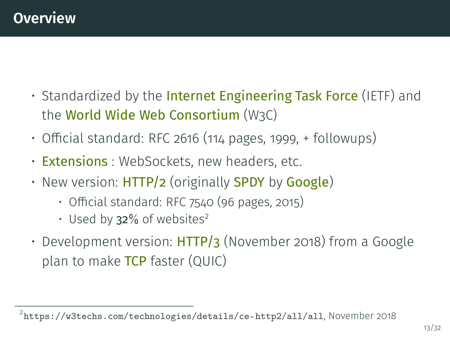- Standardized by the **Internet Engineering Task Force** (IETF) and the World Wide Web Consortium (W3C)
- $\cdot$  Official standard: [RFC 2616](https://tools.ietf.org/html/rfc2616) (114 pages, 1999, + followups)
- Extensions : WebSockets, new headers, etc.
- New version: **HTTP/2** (originally **SPDY** by **Google**)
	- $\cdot$  Official standard: [RFC 7540](https://tools.ietf.org/html/rfc7540) (96 pages, 2015)
	- Used by  $32\%$  of websites<sup>2</sup>
- Development version:  $HTTP/3$  (November 2018) from a Google plan to make TCP faster (QUIC)

 $^2$ <https://w3techs.com/technologies/details/ce-http2/all/all>, November 2018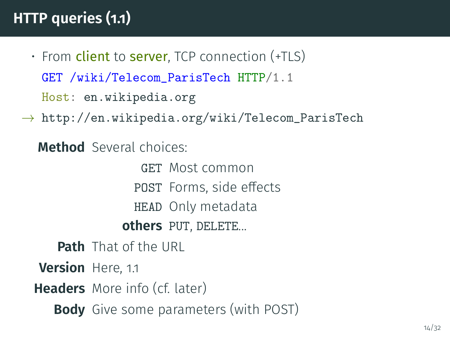## **HTTP queries (1.1)**

- $\cdot$  From client to server. TCP connection (+TLS) GET /wiki/Telecom\_ParisTech HTTP/1.1 Host: en.wikipedia.org
- $\rightarrow$  [http://en.wikipedia.org/wiki/Telecom\\_ParisTech](http://en.wikipedia.org/wiki/Telecom_ParisTech)

**Method** Several choices:

GET Most common POST Forms, side effects HEAD Only metadata **others** PUT, DELETE...

**Path** That of the URL **Version** Here, 1.1 **Headers** More info (cf. later) **Body** Give some parameters (with POST)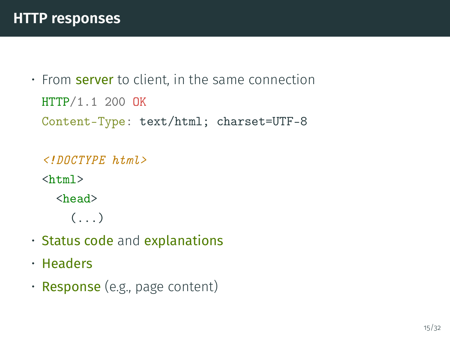```
• From server to client, in the same connection
 HTTP/1.1 200 OK
 Content-Type: text/html; charset=UTF-8
```

```
\langle!DOCTYPE html>
\hbox{\tt <html>>}<head>
      (\ldots)
```
- Status code and explanations
- Headers
- Response (e.g., page content)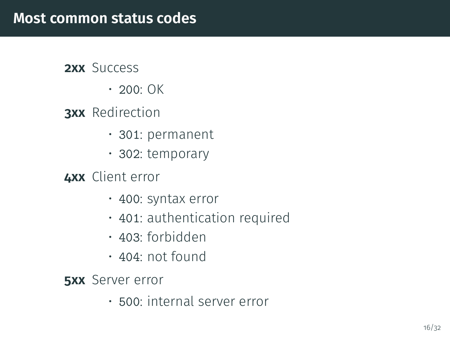#### **2xx** Success

 $\cdot$  200: OK

#### **3xx** Redirection

- 301: permanent
- 302: temporary

#### **4xx** Client error

- 400: syntax error
- 401: authentication required
- 403: forbidden
- 404: not found

**5xx** Server error

• 500: internal server error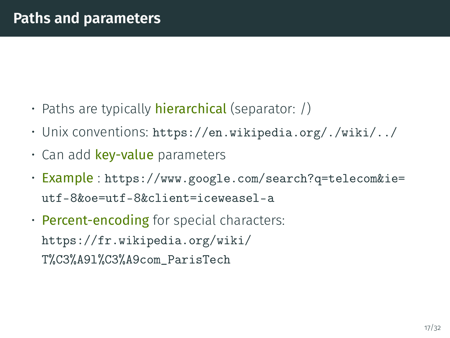- Paths are typically **hierarchical** (separator:  $\beta$ )
- Unix conventions: <https://en.wikipedia.org/./wiki/../>
- Can add key-value parameters
- Example : [https://www.google.com/search?q=telecom&ie=](https://www.google.com/search?q=telecom&ie=utf-8&oe=utf-8&client=iceweasel-a) [utf-8&oe=utf-8&client=iceweasel-a](https://www.google.com/search?q=telecom&ie=utf-8&oe=utf-8&client=iceweasel-a)
- Percent-encoding for special characters: https://fr.wikipedia.org/wiki/ T%C3%A9l%C3%A9com\_ParisTech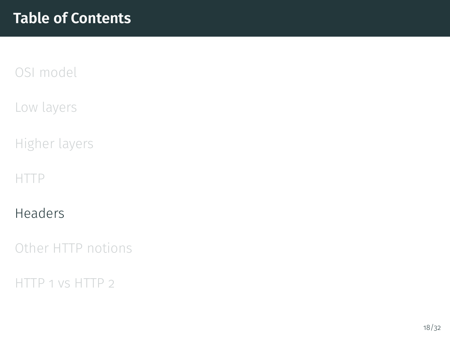<span id="page-24-0"></span>[Low layers](#page-3-0)

[Higher layers](#page-9-0)

[HTTP](#page-15-0)

[Headers](#page-24-0)

[Other HTTP notions](#page-31-0)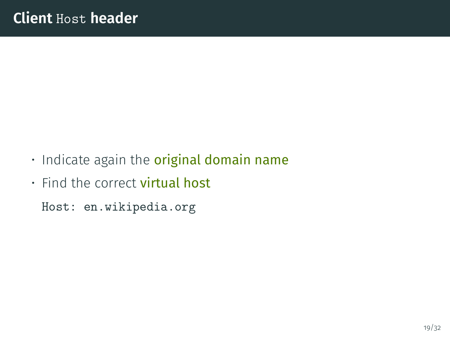- Indicate again the original domain name
- Find the correct **virtual host**

Host: en.wikipedia.org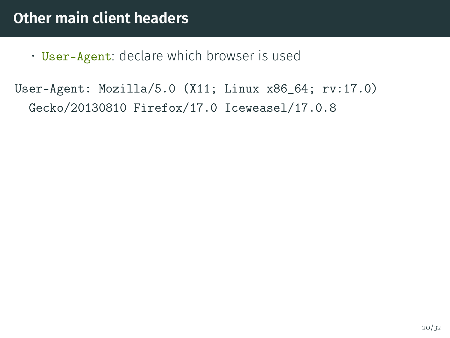• User-Agent: declare which browser is used

User-Agent: Mozilla/5.0 (X11; Linux x86\_64; rv:17.0) Gecko/20130810 Firefox/17.0 Iceweasel/17.0.8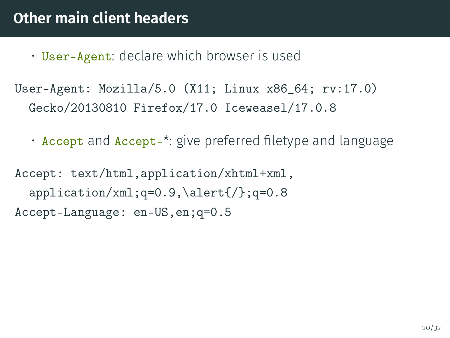- User-Agent: declare which browser is used
- User-Agent: Mozilla/5.0 (X11; Linux x86\_64; rv:17.0) Gecko/20130810 Firefox/17.0 Iceweasel/17.0.8
	- Accept and Accept-<sup>\*</sup>: give preferred filetype and language

Accept: text/html,application/xhtml+xml,  $application / xml; q=0.9, \aleph = 0.8$ Accept-Language: en-US,en;q=0.5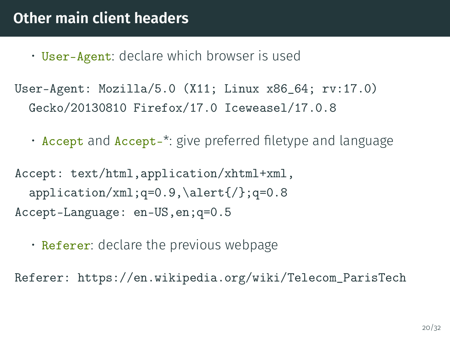- User-Agent: declare which browser is used
- User-Agent: Mozilla/5.0 (X11; Linux x86\_64; rv:17.0) Gecko/20130810 Firefox/17.0 Iceweasel/17.0.8
	- Accept and Accept-<sup>\*</sup>: give preferred filetype and language

Accept: text/html,application/xhtml+xml,  $application / xml; q=0.9, \aleph = 0.8$ Accept-Language: en-US,en;q=0.5

• Referer: declare the previous webpage

Referer: https://en.wikipedia.org/wiki/Telecom\_ParisTech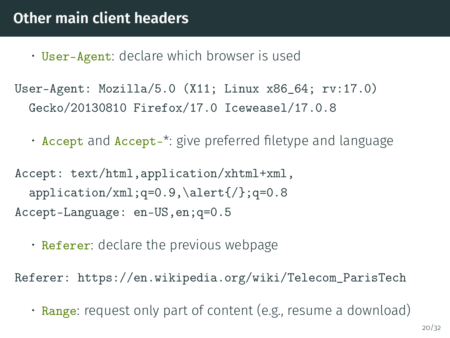- User-Agent: declare which browser is used
- User-Agent: Mozilla/5.0 (X11; Linux x86\_64; rv:17.0) Gecko/20130810 Firefox/17.0 Iceweasel/17.0.8
	- Accept and Accept-<sup>\*</sup>: give preferred filetype and language

Accept: text/html,application/xhtml+xml,  $application / xml; q=0.9, \aleph = 0.8$ Accept-Language: en-US,en;q=0.5

• Referer: declare the previous webpage

Referer: https://en.wikipedia.org/wiki/Telecom\_ParisTech

• Range: request only part of content (e.g., resume a download)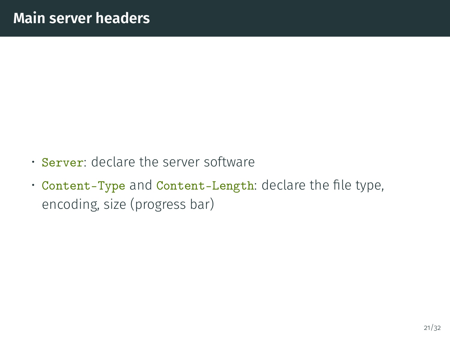- Server: declare the server software
- Content-Type and Content-Length: declare the file type, encoding, size (progress bar)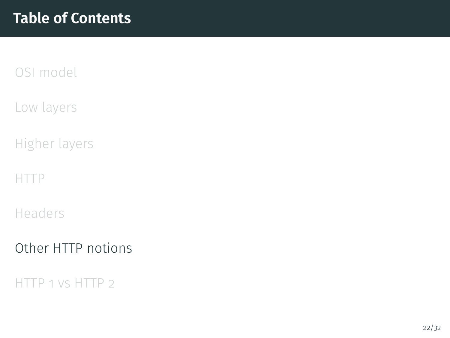<span id="page-31-0"></span>[Low layers](#page-3-0)

[Higher layers](#page-9-0)

[HTTP](#page-15-0)

[Headers](#page-24-0)

[Other HTTP notions](#page-31-0)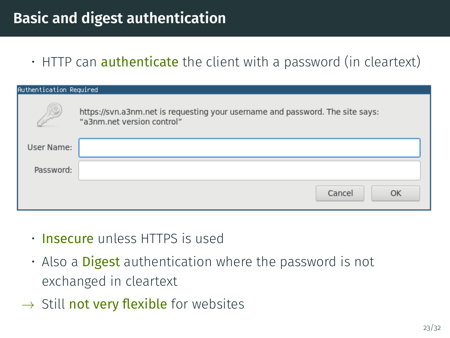### **Basic and digest authentication**

 $\cdot$  HTTP can **authenticate** the client with a password (in cleartext)

| Authentication Required |                                                                                                             |  |  |
|-------------------------|-------------------------------------------------------------------------------------------------------------|--|--|
| $\mathbf{C}$            | https://svn.a3nm.net is requesting your username and password. The site says:<br>"a3nm.net version control" |  |  |
| User Name:              |                                                                                                             |  |  |
| Password:               |                                                                                                             |  |  |
|                         | Cancel<br>OK                                                                                                |  |  |

- Insecure unless HTTPS is used
- $\cdot$  Also a **Digest** authentication where the password is not exchanged in cleartext
- $\rightarrow$  Still not very flexible for websites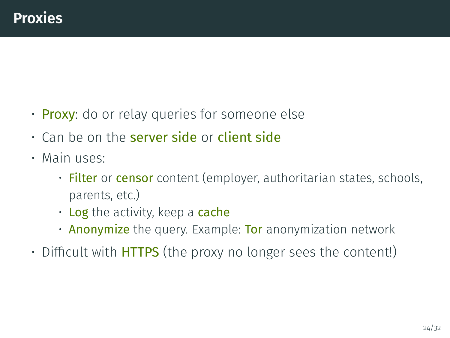- Proxy: do or relay queries for someone else
- $\cdot$  Can be on the server side or client side
- Main uses:
	- Filter or censor content (employer, authoritarian states, schools, parents, etc.)
	- $\cdot$  Log the activity, keep a cache
	- **Anonymize** the query. Example: **Tor** anonymization network
- $\cdot$  Difficult with **HTTPS** (the proxy no longer sees the content!)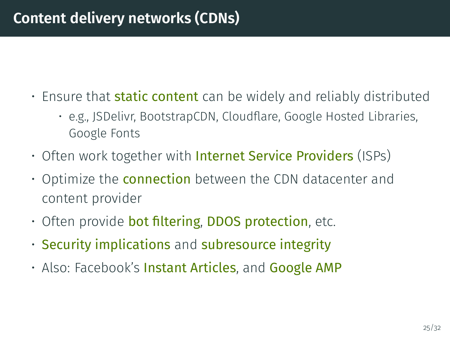#### **Content delivery networks (CDNs)**

- Ensure that **static content** can be widely and reliably distributed
	- e.g., JSDelivr, BootstrapCDN, Cloudflare, Google Hosted Libraries, Google Fonts
- Often work together with Internet Service Providers (ISPs)
- Optimize the **connection** between the CDN datacenter and content provider
- $\cdot$  Often provide bot filtering, DDOS protection, etc.
- Security implications and subresource integrity
- Also: Facebook's Instant Articles, and Google AMP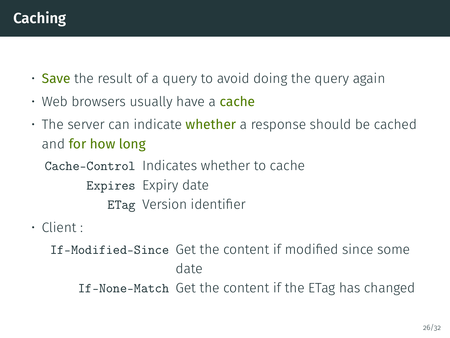## **Caching**

- Save the result of a query to avoid doing the query again
- Web browsers usually have a **cache**
- $\cdot$  The server can indicate whether a response should be cached and for how long

Cache-Control Indicates whether to cache Expires Expiry date ETag Version identifier

• Client :

If-Modified-Since Get the content if modified since some date If-None-Match Get the content if the ETag has changed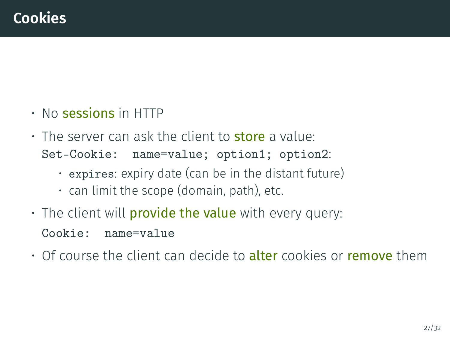- No sessions in HTTP
- The server can ask the client to **store** a value: Set-Cookie: name=value; option1; option2:
	- expires: expiry date (can be in the distant future)
	- can limit the scope (domain, path), etc.
- $\cdot$  The client will **provide the value** with every query: Cookie: name=value
- Of course the client can decide to alter cookies or remove them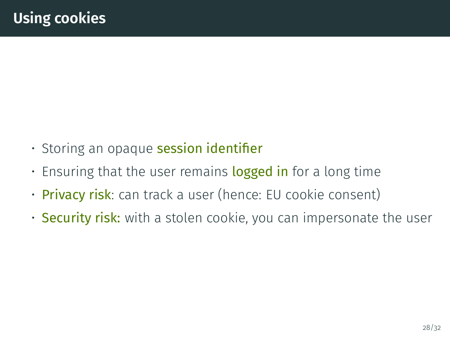- Storing an opaque session identifier
- Ensuring that the user remains logged in for a long time
- Privacy risk: can track a user (hence: EU cookie consent)
- Security risk: with a stolen cookie, you can impersonate the user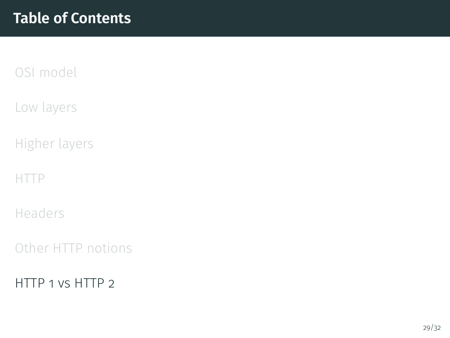<span id="page-38-0"></span>[Low layers](#page-3-0)

[Higher layers](#page-9-0)

[HTTP](#page-15-0)

[Headers](#page-24-0)

[Other HTTP notions](#page-31-0)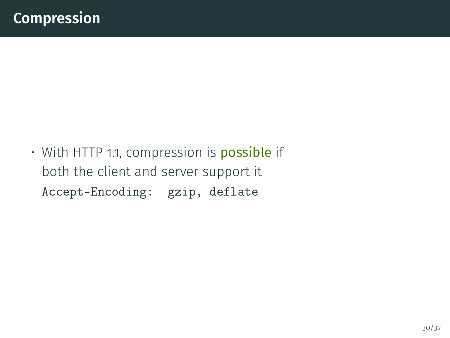• With HTTP 1.1, compression is **possible** if both the client and server support it Accept-Encoding: gzip, deflate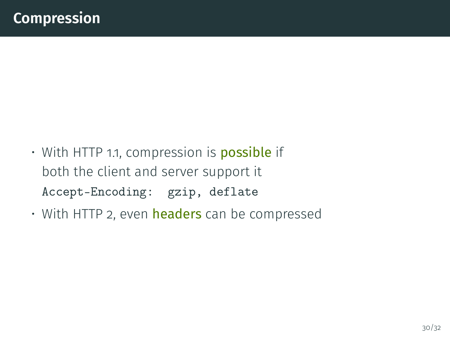- With HTTP 1.1, compression is **possible** if both the client and server support it Accept-Encoding: gzip, deflate
- With HTTP 2, even headers can be compressed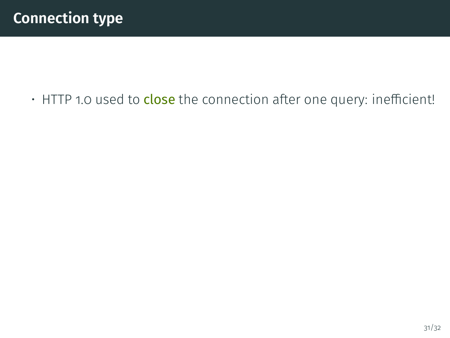• HTTP 1.0 used to close the connection after one query: inefficient!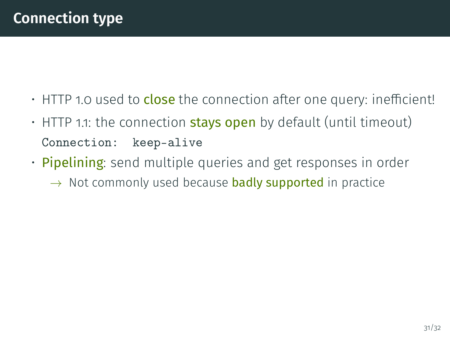- $\cdot$  HTTP 1.0 used to close the connection after one query: inefficient!
- $\cdot$  HTTP 1.1: the connection **stays open** by default (until timeout) Connection: keep-alive
- **Pipelining**: send multiple queries and get responses in order  $\rightarrow$  Not commonly used because **badly supported** in practice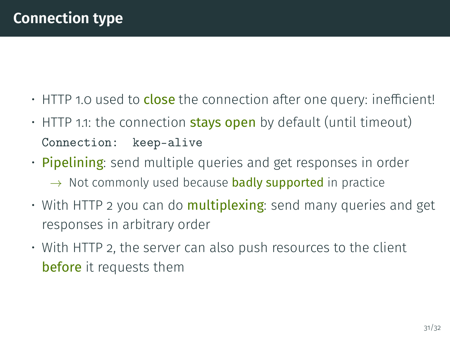- $\cdot$  HTTP 1.0 used to close the connection after one query: inefficient!
- $\cdot$  HTTP 1.1: the connection **stays open** by default (until timeout) Connection: keep-alive
- Pipelining: send multiple queries and get responses in order  $\rightarrow$  Not commonly used because **badly supported** in practice
- $\cdot$  With HTTP 2 you can do **multiplexing**: send many queries and get responses in arbitrary order
- With HTTP 2, the server can also push resources to the client before it requests them